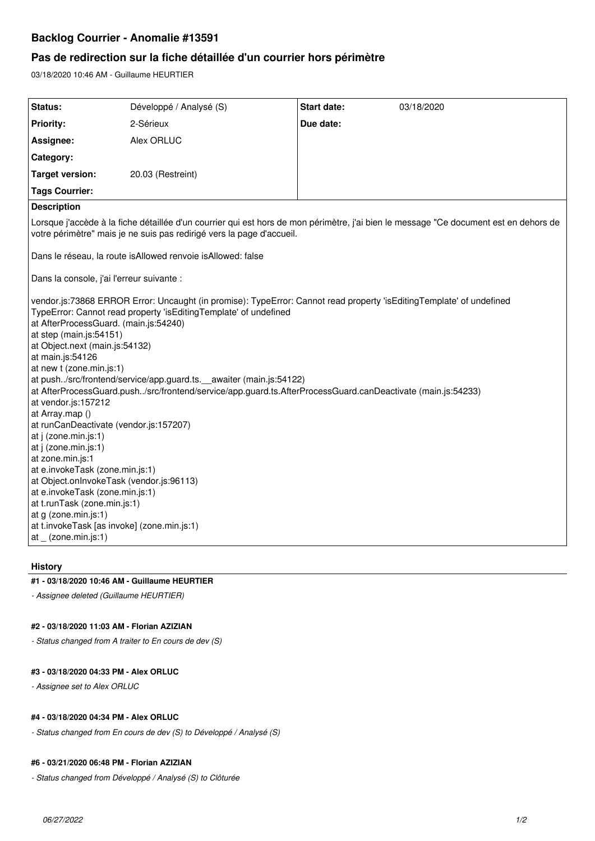# **Backlog Courrier - Anomalie #13591**

# **Pas de redirection sur la fiche détaillée d'un courrier hors périmètre**

03/18/2020 10:46 AM - Guillaume HEURTIER

| Status:                                                                                                                                                                                                                                                                                                                                                                                                                                                                                                                                                                                                                                                                                                                                                                                                                                                                                                                                              | Développé / Analysé (S) | Start date: | 03/18/2020 |
|------------------------------------------------------------------------------------------------------------------------------------------------------------------------------------------------------------------------------------------------------------------------------------------------------------------------------------------------------------------------------------------------------------------------------------------------------------------------------------------------------------------------------------------------------------------------------------------------------------------------------------------------------------------------------------------------------------------------------------------------------------------------------------------------------------------------------------------------------------------------------------------------------------------------------------------------------|-------------------------|-------------|------------|
| <b>Priority:</b>                                                                                                                                                                                                                                                                                                                                                                                                                                                                                                                                                                                                                                                                                                                                                                                                                                                                                                                                     | 2-Sérieux               | Due date:   |            |
| Assignee:                                                                                                                                                                                                                                                                                                                                                                                                                                                                                                                                                                                                                                                                                                                                                                                                                                                                                                                                            | Alex ORLUC              |             |            |
| Category:                                                                                                                                                                                                                                                                                                                                                                                                                                                                                                                                                                                                                                                                                                                                                                                                                                                                                                                                            |                         |             |            |
| <b>Target version:</b>                                                                                                                                                                                                                                                                                                                                                                                                                                                                                                                                                                                                                                                                                                                                                                                                                                                                                                                               | 20.03 (Restreint)       |             |            |
| <b>Tags Courrier:</b>                                                                                                                                                                                                                                                                                                                                                                                                                                                                                                                                                                                                                                                                                                                                                                                                                                                                                                                                |                         |             |            |
| <b>Description</b>                                                                                                                                                                                                                                                                                                                                                                                                                                                                                                                                                                                                                                                                                                                                                                                                                                                                                                                                   |                         |             |            |
| Lorsque j'accède à la fiche détaillée d'un courrier qui est hors de mon périmètre, j'ai bien le message "Ce document est en dehors de<br>votre périmètre" mais je ne suis pas redirigé vers la page d'accueil.                                                                                                                                                                                                                                                                                                                                                                                                                                                                                                                                                                                                                                                                                                                                       |                         |             |            |
| Dans le réseau, la route isAllowed renvoie isAllowed: false                                                                                                                                                                                                                                                                                                                                                                                                                                                                                                                                                                                                                                                                                                                                                                                                                                                                                          |                         |             |            |
| Dans la console, j'ai l'erreur suivante :                                                                                                                                                                                                                                                                                                                                                                                                                                                                                                                                                                                                                                                                                                                                                                                                                                                                                                            |                         |             |            |
| vendor.js:73868 ERROR Error: Uncaught (in promise): TypeError: Cannot read property 'isEditingTemplate' of undefined<br>TypeError: Cannot read property 'isEditingTemplate' of undefined<br>at AfterProcessGuard. (main.js:54240)<br>at step (main.js:54151)<br>at Object.next (main.js:54132)<br>at main.js:54126<br>at new t (zone.min.js:1)<br>at push/src/frontend/service/app.guard.ts. __ awaiter (main.js:54122)<br>at AfterProcessGuard.push./src/frontend/service/app.guard.ts.AfterProcessGuard.canDeactivate (main.js:54233)<br>at vendor.js:157212<br>at Array.map ()<br>at runCanDeactivate (vendor.js:157207)<br>at j (zone.min.js:1)<br>at j (zone.min.js:1)<br>at zone.min.js:1<br>at e.invokeTask (zone.min.js:1)<br>at Object.onInvokeTask (vendor.js:96113)<br>at e.invokeTask (zone.min.js:1)<br>at t.runTask (zone.min.js:1)<br>at g (zone.min.js:1)<br>at t.invokeTask [as invoke] (zone.min.js:1)<br>$at_{z}$ (zone.min.js:1) |                         |             |            |

### **History**

### **#1 - 03/18/2020 10:46 AM - Guillaume HEURTIER**

*- Assignee deleted (Guillaume HEURTIER)*

#### **#2 - 03/18/2020 11:03 AM - Florian AZIZIAN**

*- Status changed from A traiter to En cours de dev (S)*

### **#3 - 03/18/2020 04:33 PM - Alex ORLUC**

*- Assignee set to Alex ORLUC*

#### **#4 - 03/18/2020 04:34 PM - Alex ORLUC**

*- Status changed from En cours de dev (S) to Développé / Analysé (S)*

#### **#6 - 03/21/2020 06:48 PM - Florian AZIZIAN**

*- Status changed from Développé / Analysé (S) to Clôturée*